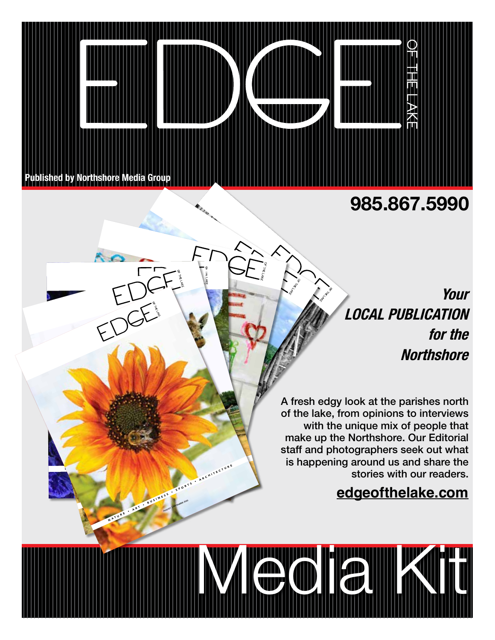

PEOPLE • ART • ART • ART • ART • ART • ART • ART • ART • ART • ART • ART • ART • ART • ART • ART • ART • ART •  $\frac{1}{2}$ 

C O M M U N U N U N

**LOBER INC.** PEOPLE • TRAVEL • TRAVEL • HEALTH • ART • HEALTH • ART • ART • FOOD • HEALTH • ART • HEALTH • ART • FOOD • HEALTH • ART • FOOD • HEALTH • ART • FOOD • HEALTH • ART • FOOD • HEALTH • ART • FOOD • HEALTH • FOOD • HEALTH • FO OCTOBER | NOVEMBER 2019

 $\mathcal{L} \subset \mathcal{L}$ 

PEOPLE • TRAVEL • AWARDS • FOOD • AWARDS • FOOD • FOOD • HISTORY • AWARDS • FOOD • FOOD • HISTORY • ARTHUR • ARTHUR • ARTHUR • ARTHUR • ARTHUR • ARTHUR • ARTHUR • ARTHUR • ARTHUR • ARTHUR • ARTHUR • ARTHUR • ARTHUR • ARTHU  $\mathcal{A}$ NATURE • ART • BUSINESS • ARCHITECTURE AUGUST | SEPTEMBER 2020

PEOPLE • BEAUTY  $\mathcal{F}_{\mathcal{G}}$ 

 $\mathcal{L} = \mathcal{L}$ 

## **985.867.5990**

**Your LOCAL PUBLICATION for the Northshore** 

A fresh edgy look at the parishes north of the lake, from opinions to interviews with the unique mix of people that make up the Northshore. Our Editorial staff and photographers seek out what is happening around us and share the stories with our readers.

**INZIE TE HEUROPEEN** 

### **edgeofthelake.com**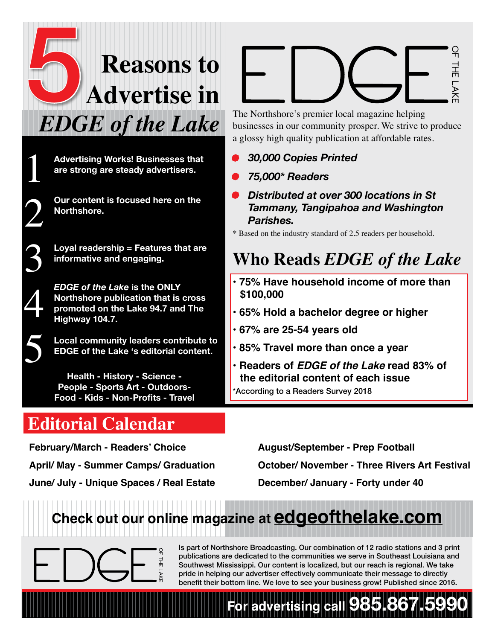# **Reasons to Advertise in**  *EDGE of the Lake* 5

**Advertising Works! Businesses that are strong are steady advertisers.**

**Our content is focused here on the Northshore.**

**Loyal readership = Features that are informative and engaging.**



5

1

2

*EDGE of the Lake* **is the ONLY Northshore publication that is cross promoted on the Lake 94.7 and The Highway 104.7.**

**Local community leaders contribute to EDGE of the Lake 's editorial content.**

**Health - History - Science - People - Sports Art - Outdoors-Food - Kids - Non-Profits - Travel**

# **Editorial Calendar**

THE LAKI

The Northshore's premier local magazine helping businesses in our community prosper. We strive to produce a glossy high quality publication at affordable rates.

- *• 30,000 Copies Printed*
- *• 75,000\* Readers*
- *• Distributed at over 300 locations in St Tammany, Tangipahoa and Washington Parishes.*

\* Based on the industry standard of 2.5 readers per household.

# **Who Reads** *EDGE of the Lake*

- **75% Have household income of more than \$100,000**
- **65% Hold a bachelor degree or higher**
- **67% are 25-54 years old**
- **85% Travel more than once a year**
- **Readers of** *EDGE of the Lake* **read 83% of the editorial content of each issue**

\*According to a Readers Survey 2018

**February/March - Readers' Choice April/ May - Summer Camps/ Graduation June/ July - Unique Spaces / Real Estate** 

복

**August/September - Prep Football October/ November - Three Rivers Art Festival December/ January - Forty under 40**

# **Check out our online magazine at edgeofthelake.com**

Is part of Northshore Broadcasting. Our combination of 12 radio stations and 3 print publications are dedicated to the communities we serve in Southeast Louisiana and Southwest Mississippi. Our content is localized, but our reach is regional. We take pride in helping our advertiser effectively communicate their message to directly benefit their bottom line. We love to see your business grow! Published since 2016.

**For advertising call 985.867.5990**